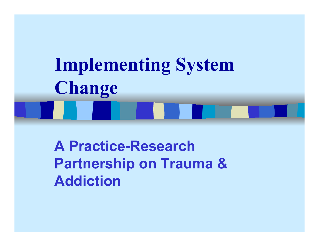# **Implementing System Change**

**A Practice-Research Partnership on Trauma & Addiction**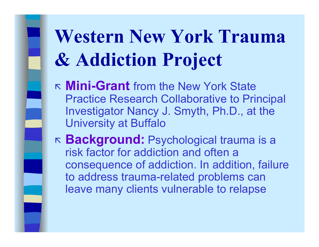## **Western New York Trauma & Addiction Project**

- **Mini-Grant** from the New York State Practice Research Collaborative to P rincipal Investigator Nancy J. Smyth, Ph.D., at the University at Buffalo
- K **Background:** Psychological trauma is a risk factor for addiction and often a consequence of addiction. In addition, failure to address trauma-related problems can leave many clients vulnerable to relapse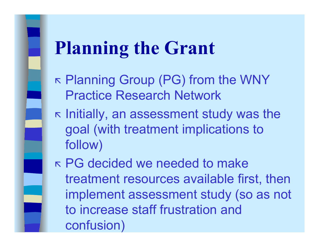### **Planning the Grant**

- K  $\kappa$  Planning Group (PG) from the WNY Practice Research Net work
- K  $\kappa$  Initially, an assessment study was the goal (with treatment implications to follow)
- PG decided we needed to make treatment resources available fir st, then implement assessment study (so as not to increase staff frustration and confusion )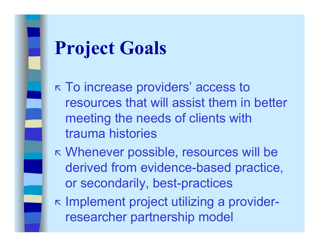### **Project Goals**

 To increase providers' access to resources that will assist them in better meeting the needs of clients with trauma histories

- Whenever possible, resources will be derived from evidence-based practice, or secondarily, best-practices
- K Implement project utilizing a providerresearcher partnership model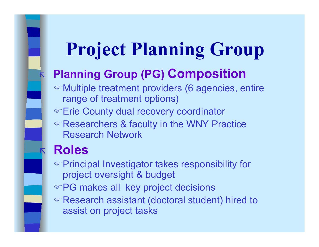### **Project Planning Group**

### **Planning Group (PG) Composition**

- Multiple treatment providers (6 agencies, entire range of treatment options)
- Erie County dual recovery coordinator
- Researchers & faculty in the WNY Practice Research Network

### **Roles**

K

 $\boldsymbol{\mathsf{K}}$ 

Principal Investigator takes responsibility for project oversight & budget

- PG makes all key project decisions
- Research assistant (doctoral student) hired to assist on project tasks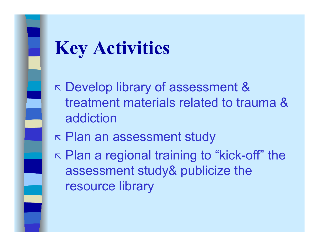### **Key Activities**

- K Develop library of assessment & treatment materials related to trauma & addiction
- K Plan an assessment study
- K  $⊏$  Plan a regional training to "kick-off" the assessment study& publicize the resou rce library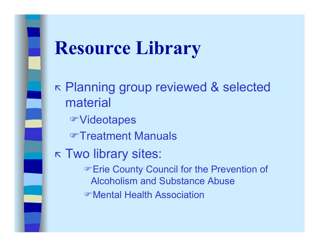### **Resource Library**

K Planning group reviewed & selected material Videotapes Treatment ManualsK Two library sites: **Erie County Council for the Prevention of** Alcoholism and Substance AbuseMental Health Association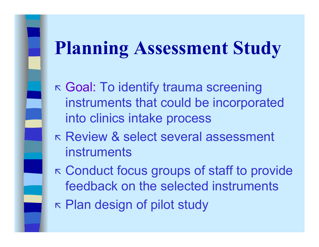### **Planning Assessment Study**

- K  $⊏$  Goal: To identify trauma screening instruments that could be incorporated into clinics intake process
- Review & select several assessment instruments
- K Conduct focus groups of staff to provide feedback on the selected instruments
- K Plan design of pilot study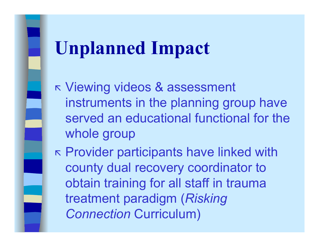### **Unplanned Impact**

K Viewing videos & assessment instruments in the planning group have served an educational functional for the whole group

 $⊏$  Provider participants have linked with county dual recovery coordinator to obtain training for all staff in trauma treatment paradigm (*Risking Connection* Curriculum)